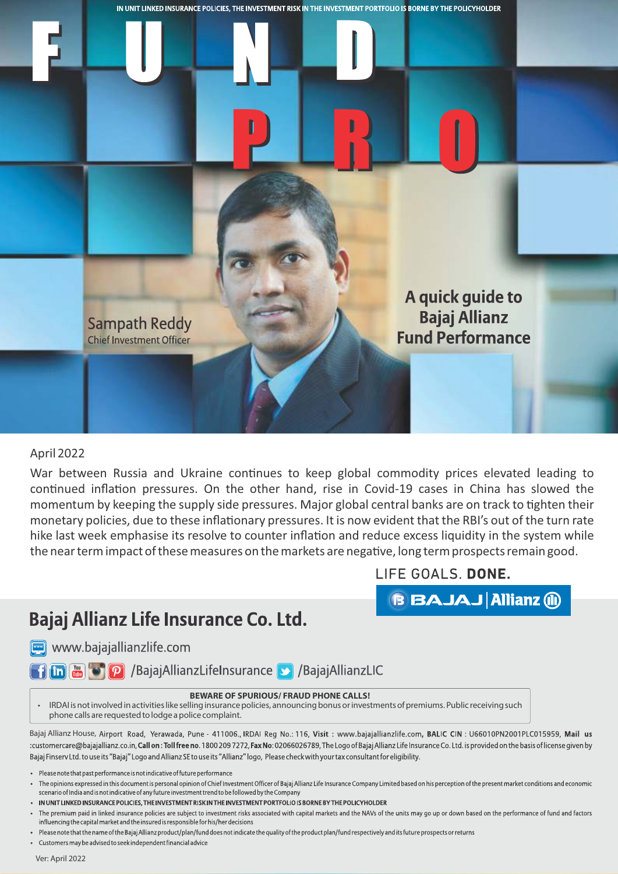

## April 2022

War between Russia and Ukraine continues to keep global commodity prices elevated leading to continued inflation pressures. On the other hand, rise in Covid-19 cases in China has slowed the momentum by keeping the supply side pressures. Major global central banks are on track to tighten their monetary policies, due to these inflationary pressures. It is now evident that the RBI's out of the turn rate hike last week emphasise its resolve to counter inflation and reduce excess liquidity in the system while the near term impact of these measures on the markets are negative, long term prospects remain good.

## LIFE GOALS. DONE.

**BBAJAJ Allianz (ii)** 

## Bajaj Allianz Life Insurance Co. Ltd.

www.bajajallianzlife.com

**Thin Figure 10 P** /BajajAllianzLifeInsurance **>** /BajajAllianzLIC

## **BEWARE OF SPURIOUS/ FRAUD PHONE CALLS!**

 IRDAI is not involved in activities like selling insurance policies, announcing bonus or investments of premiums. Public receiving such phone calls are requested to lodge a police complaint.

Bajaj Allianz House, Airport Road, Yerawada, Pune - 411006., IRDAI Reg No.: 116, Visit: www.bajajallianzlife.com, BALIC CIN: U66010PN2001PLC015959, Mail us :customercare@bajajallianz.co.in, Call on: Toll free no. 1800 2097272, Fax No: 02066026789, The Logo of Bajaj Allianz Life Insurance Co. Ltd. is provided on the basis of license given by Bajaj Finsery Ltd. to use its "Bajaj" Logo and Allianz SE to use its "Allianz" logo, Please check with your tax consultant for eligibility.

- Please note that past performance is not indicative of future performance
- The opinions expressed in this document is personal opinion of Chief Investment Officer of Bajaj Allianz Life Insurance Company Limited based on his perception of the present market conditions and economic scenario of India and is not indicative of any future investment trend to be followed by the Company
- IN UNIT LINKED INSURANCE POLICIES, THE INVESTMENT RISK IN THE INVESTMENT PORTFOLIO IS BORNE BY THE POLICYHOLDER

- Please note that the name of the Bajaj Allianz product/plan/fund does not indicate the quality of the product plan/fund respectively and its future prospects or returns
- Customers may be advised to seek independent financial advice

Ver: April 2022

The premium paid in linked insurance policies are subject to investment risks associated with capital markets and the NAVs of the units may go up or down based on the performance of fund and factors influencing the capital market and the insured is responsible for his/her decisions